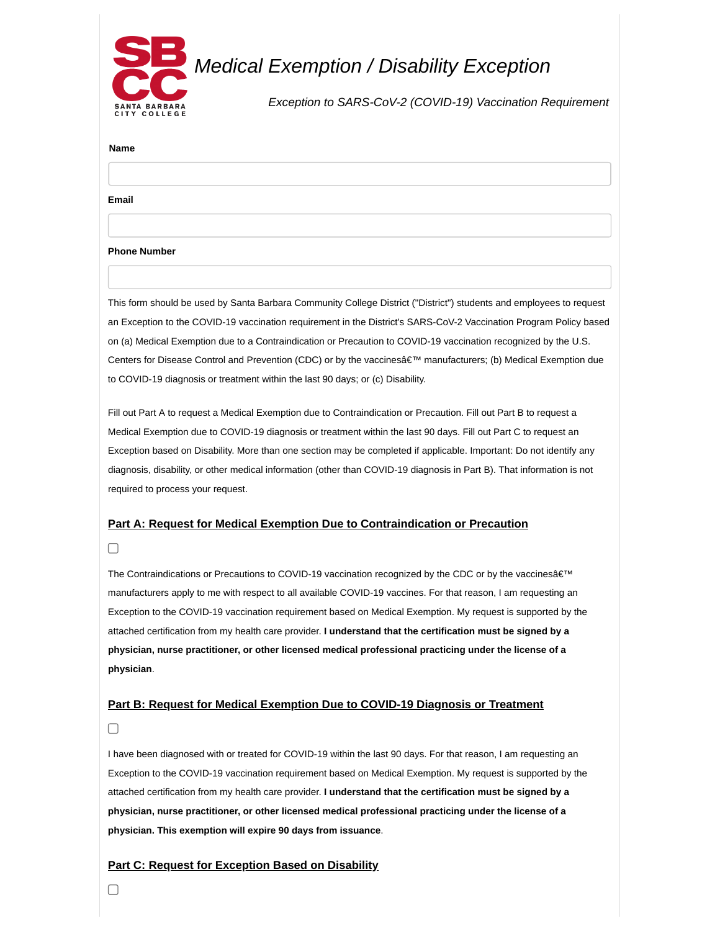

**Name**

**Email**

**Phone Number**

This form should be used by Santa Barbara Community College District ("District") students and employees to request an Exception to the COVID-19 vaccination requirement in the District's SARS-CoV-2 Vaccination Program Policy based on (a) Medical Exemption due to a Contraindication or Precaution to COVID-19 vaccination recognized by the U.S. Centers for Disease Control and Prevention (CDC) or by the vaccines' manufacturers; (b) Medical Exemption due to COVID-19 diagnosis or treatment within the last 90 days; or (c) Disability.

Fill out Part A to request a Medical Exemption due to Contraindication or Precaution. Fill out Part B to request a Medical Exemption due to COVID-19 diagnosis or treatment within the last 90 days. Fill out Part C to request an Exception based on Disability. More than one section may be completed if applicable. Important: Do not identify any diagnosis, disability, or other medical information (other than COVID-19 diagnosis in Part B). That information is not required to process your request.

## **Part A: Request for Medical Exemption Due to Contraindication or Precaution**

 $\Box$ 

The Contraindications or Precautions to COVID-19 vaccination recognized by the CDC or by the vaccines' manufacturers apply to me with respect to all available COVID-19 vaccines. For that reason, I am requesting an Exception to the COVID-19 vaccination requirement based on Medical Exemption. My request is supported by the attached certification from my health care provider. **I understand that the certification must be signed by a physician, nurse practitioner, or other licensed medical professional practicing under the license of a physician**.

## **Part B: Request for Medical Exemption Due to COVID-19 Diagnosis or Treatment**

 $\Box$ 

I have been diagnosed with or treated for COVID-19 within the last 90 days. For that reason, I am requesting an Exception to the COVID-19 vaccination requirement based on Medical Exemption. My request is supported by the attached certification from my health care provider. **I understand that the certification must be signed by a physician, nurse practitioner, or other licensed medical professional practicing under the license of a physician. This exemption will expire 90 days from issuance**.